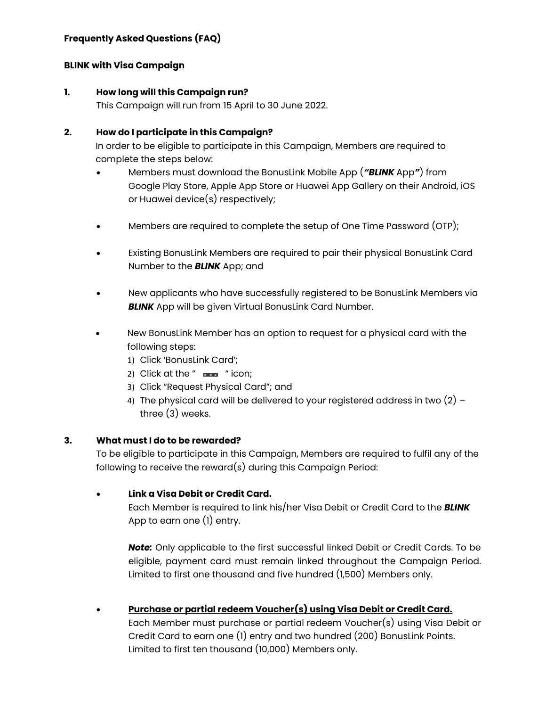### **Frequently Asked Questions (FAQ)**

### **BLINK with Visa Campaign**

#### **1. How long will this Campaign run?**

This Campaign will run from 15 April to 30 June 2022.

### **2. How do I participate in this Campaign?**

In order to be eligible to participate in this Campaign, Members are required to complete the steps below:

- Members must download the BonusLink Mobile App (*"BLINK* App*"*) from Google Play Store, Apple App Store or Huawei App Gallery on their Android, iOS or Huawei device(s) respectively;
- Members are required to complete the setup of One Time Password (OTP);
- Existing BonusLink Members are required to pair their physical BonusLink Card Number to the *BLINK* App; and
- New applicants who have successfully registered to be BonusLink Members via **BLINK** App will be given Virtual BonusLink Card Number.
- New BonusLink Member has an option to request for a physical card with the following steps:
	- 1) Click 'BonusLink Card';
	- 2) Click at the " $\equiv$ " icon;
	- 3) Click "Request Physical Card"; and
	- 4) The physical card will be delivered to your registered address in two  $(2)$  three (3) weeks.

### **3. What must I do to be rewarded?**

To be eligible to participate in this Campaign, Members are required to fulfil any of the following to receive the reward(s) during this Campaign Period:

### • **Link a Visa Debit or Credit Card.**

Each Member is required to link his/her Visa Debit or Credit Card to the *BLINK* App to earn one (1) entry.

*Note:* Only applicable to the first successful linked Debit or Credit Cards. To be eligible, payment card must remain linked throughout the Campaign Period. Limited to first one thousand and five hundred (1,500) Members only.

• **Purchase or partial redeem Voucher(s) using Visa Debit or Credit Card.** Each Member must purchase or partial redeem Voucher(s) using Visa Debit or Credit Card to earn one (1) entry and two hundred (200) BonusLink Points. Limited to first ten thousand (10,000) Members only.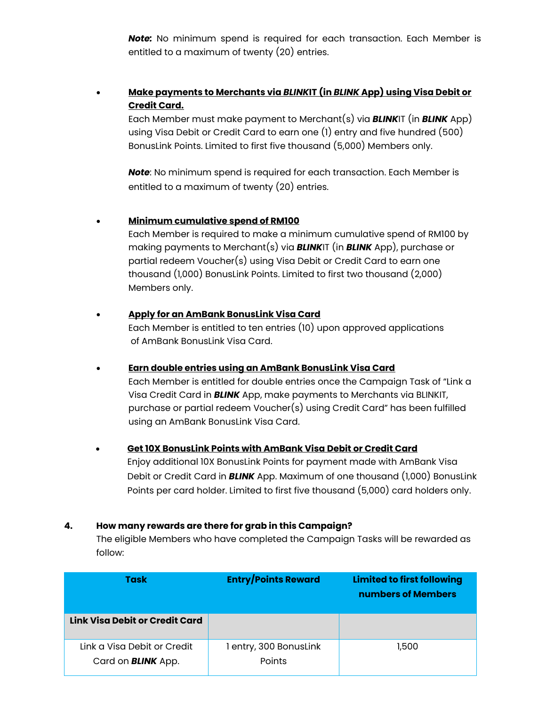*Note:* No minimum spend is required for each transaction. Each Member is entitled to a maximum of twenty (20) entries.

## • **Make payments to Merchants via** *BLINK***IT (in** *BLINK* **App) using Visa Debit or Credit Card.**

Each Member must make payment to Merchant(s) via *BLINK*IT (in *BLINK* App) using Visa Debit or Credit Card to earn one (1) entry and five hundred (500) BonusLink Points. Limited to first five thousand (5,000) Members only.

*Note*: No minimum spend is required for each transaction. Each Member is entitled to a maximum of twenty (20) entries.

### • **Minimum cumulative spend of RM100**

Each Member is required to make a minimum cumulative spend of RM100 by making payments to Merchant(s) via *BLINK*IT (in *BLINK* App), purchase or partial redeem Voucher(s) using Visa Debit or Credit Card to earn one thousand (1,000) BonusLink Points. Limited to first two thousand (2,000) Members only.

### • **Apply for an AmBank BonusLink Visa Card**

Each Member is entitled to ten entries (10) upon approved applications of AmBank BonusLink Visa Card.

### • **Earn double entries using an AmBank BonusLink Visa Card**

Each Member is entitled for double entries once the Campaign Task of "Link a Visa Credit Card in *BLINK* App, make payments to Merchants via BLINKIT, purchase or partial redeem Voucher(s) using Credit Card" has been fulfilled using an AmBank BonusLink Visa Card.

### • **Get 10X BonusLink Points with AmBank Visa Debit or Credit Card**

Enjoy additional 10X BonusLink Points for payment made with AmBank Visa Debit or Credit Card in *BLINK* App. Maximum of one thousand (1,000) BonusLink Points per card holder. Limited to first five thousand (5,000) card holders only.

### **4. How many rewards are there for grab in this Campaign?**

The eligible Members who have completed the Campaign Tasks will be rewarded as follow:

| Task                                                     | <b>Entry/Points Reward</b>       | <b>Limited to first following</b><br>numbers of Members |
|----------------------------------------------------------|----------------------------------|---------------------------------------------------------|
| Link Visa Debit or Credit Card                           |                                  |                                                         |
| Link a Visa Debit or Credit<br>Card on <b>BLINK</b> App. | 1 entry, 300 BonusLink<br>Points | 1,500                                                   |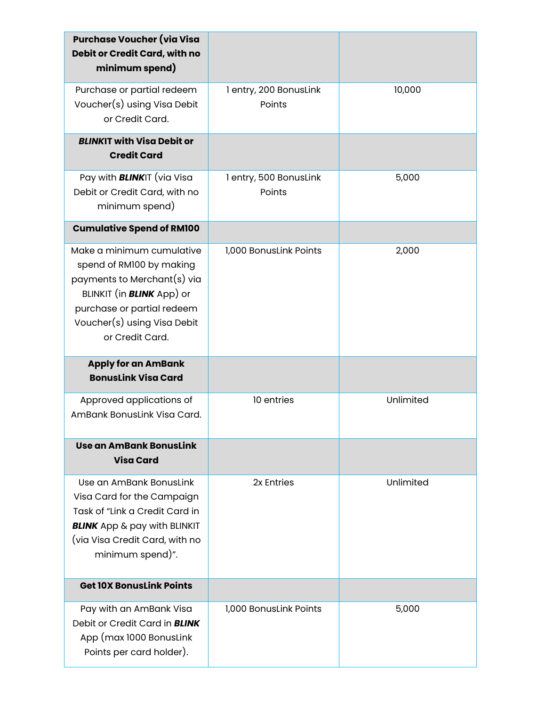| <b>Purchase Voucher (via Visa</b><br>Debit or Credit Card, with no<br>minimum spend)                                                                                                                     |                                  |           |
|----------------------------------------------------------------------------------------------------------------------------------------------------------------------------------------------------------|----------------------------------|-----------|
| Purchase or partial redeem<br>Voucher(s) using Visa Debit<br>or Credit Card.                                                                                                                             | 1 entry, 200 BonusLink<br>Points | 10,000    |
| <b>BLINKIT with Visa Debit or</b><br><b>Credit Card</b>                                                                                                                                                  |                                  |           |
| Pay with <b>BLINK</b> IT (via Visa<br>Debit or Credit Card, with no<br>minimum spend)                                                                                                                    | 1 entry, 500 BonusLink<br>Points | 5,000     |
| <b>Cumulative Spend of RM100</b>                                                                                                                                                                         |                                  |           |
| Make a minimum cumulative<br>spend of RM100 by making<br>payments to Merchant(s) via<br>BLINKIT (in <b>BLINK</b> App) or<br>purchase or partial redeem<br>Voucher(s) using Visa Debit<br>or Credit Card. | 1,000 BonusLink Points           | 2,000     |
| <b>Apply for an AmBank</b><br><b>BonusLink Visa Card</b>                                                                                                                                                 |                                  |           |
| Approved applications of<br>AmBank BonusLink Visa Card.                                                                                                                                                  | 10 entries                       | Unlimited |
|                                                                                                                                                                                                          |                                  |           |
| Use an AmBank BonusLink<br><b>Visa Card</b>                                                                                                                                                              |                                  |           |
| Use an AmBank BonusLink<br>Visa Card for the Campaign<br>Task of "Link a Credit Card in<br><b>BLINK</b> App & pay with BLINKIT<br>(via Visa Credit Card, with no<br>minimum spend)".                     | 2x Entries                       | Unlimited |
| <b>Get 10X BonusLink Points</b>                                                                                                                                                                          |                                  |           |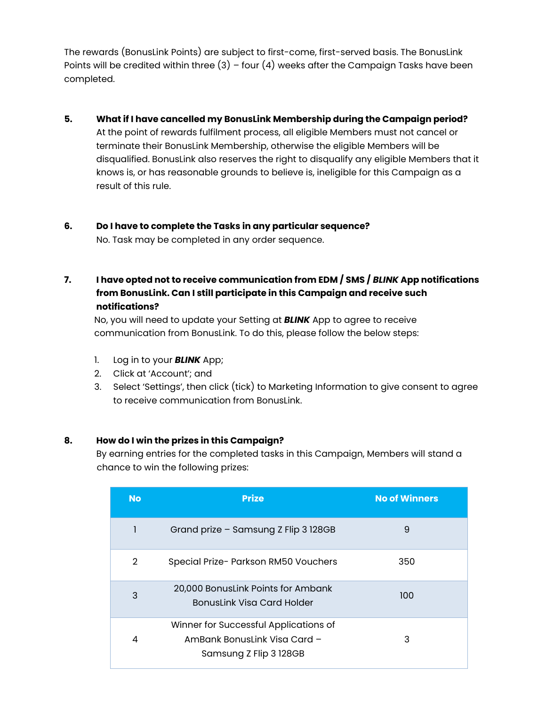The rewards (BonusLink Points) are subject to first-come, first-served basis. The BonusLink Points will be credited within three  $(3)$  – four  $(4)$  weeks after the Campaign Tasks have been completed.

### **5. What if I have cancelled my BonusLink Membership during the Campaign period?**

At the point of rewards fulfilment process, all eligible Members must not cancel or terminate their BonusLink Membership, otherwise the eligible Members will be disqualified. BonusLink also reserves the right to disqualify any eligible Members that it knows is, or has reasonable grounds to believe is, ineligible for this Campaign as a result of this rule.

# **6. Do I have to complete the Tasks in any particular sequence?**

No. Task may be completed in any order sequence.

# **7. I have opted not to receive communication from EDM / SMS /** *BLINK* **App notifications from BonusLink. Can I still participate in this Campaign and receive such notifications?**

No, you will need to update your Setting at *BLINK* App to agree to receive communication from BonusLink. To do this, please follow the below steps:

- 1. Log in to your *BLINK* App;
- 2. Click at 'Account'; and
- 3. Select 'Settings', then click (tick) to Marketing Information to give consent to agree to receive communication from BonusLink.

### **8. How do I win the prizes in this Campaign?**

By earning entries for the completed tasks in this Campaign, Members will stand a chance to win the following prizes:

| <b>No</b> | <b>Prize</b>                                                                                    | <b>No of Winners</b> |
|-----------|-------------------------------------------------------------------------------------------------|----------------------|
| 1         | Grand prize - Samsung Z Flip 3 128GB                                                            | 9                    |
| 2         | Special Prize- Parkson RM50 Vouchers                                                            | 350                  |
| 3         | 20,000 BonusLink Points for Ambank<br><b>BonusLink Visa Card Holder</b>                         | 100                  |
| 4         | Winner for Successful Applications of<br>AmBank Bonuslink Visa Card -<br>Samsung Z Flip 3 128GB | З                    |